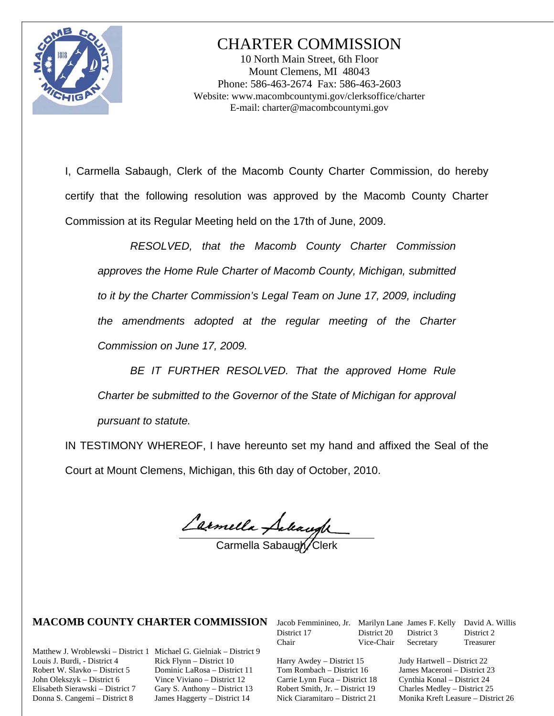

# CHARTER COMMISSION

10 North Main Street, 6th Floor Mount Clemens, MI 48043 Phone: 586-463-2674 Fax: 586-463-2603 Website: www.macombcountymi.gov/clerksoffice/charter E-mail: charter@macombcountymi.gov

I, Carmella Sabaugh, Clerk of the Macomb County Charter Commission, do hereby certify that the following resolution was approved by the Macomb County Charter Commission at its Regular Meeting held on the 17th of June, 2009.

*RESOLVED, that the Macomb County Charter Commission approves the Home Rule Charter of Macomb County, Michigan, submitted to it by the Charter Commission's Legal Team on June 17, 2009, including the amendments adopted at the regular meeting of the Charter Commission on June 17, 2009.* 

*BE IT FURTHER RESOLVED. That the approved Home Rule Charter be submitted to the Governor of the State of Michigan for approval pursuant to statute.* 

IN TESTIMONY WHEREOF, I have hereunto set my hand and affixed the Seal of the Court at Mount Clemens, Michigan, this 6th day of October, 2010.

ľ

Carmella Sabaugh/Clerk

Matthew J. Wroblewski – District 1 Michael G. Gielniak – District 9 Louis J. Burdi, - District 4 Rick Flynn – District 10 Harry Awdey – District 15 Judy Hartwell – District 22 Robert W. Slavko – District 5 Dominic LaRosa – District 11 Tom Rombach – District 16 James Maceroni – District 23 John Olekszyk – District 6 Vince Viviano – District 12 Carrie Lynn Fuca – District 18 Cynthia Konal – District 24 Elisabeth Sierawski – District 7 Gary S. Anthony – District 13 Robert Smith, Jr. – District 19 Charles Medley – District 25

**MACOMB COUNTY CHARTER COMMISSION** Jacob Femminineo, Jr. Marilyn Lane James F. Kelly David A. Willis<br>District 17 District 20 District 3 District 2 District 17 District 20 District 3 District 2 Chair Vice-Chair Secretary Treasurer

Donna S. Cangemi – District 8 James Haggerty – District 14 Nick Ciaramitaro – District 21 Monika Kreft Leasure – District 26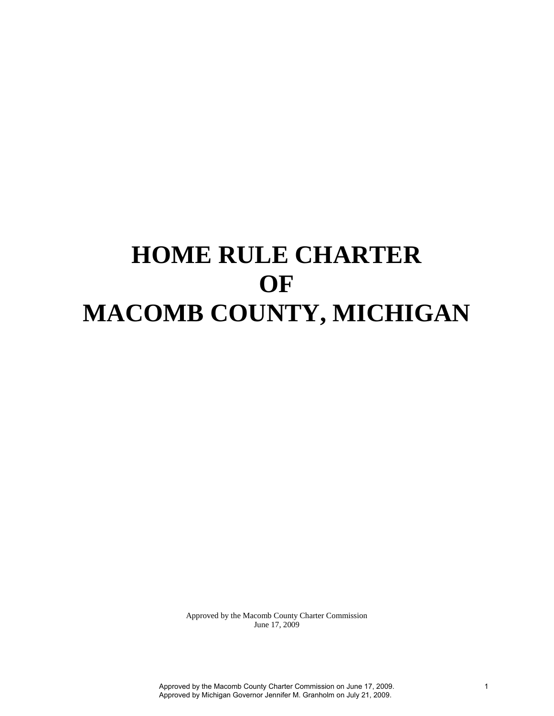# **HOME RULE CHARTER OF MACOMB COUNTY, MICHIGAN**

Approved by the Macomb County Charter Commission June 17, 2009

Approved by the Macomb County Charter Commission on June 17, 2009. Approved by Michigan Governor Jennifer M. Granholm on July 21, 2009.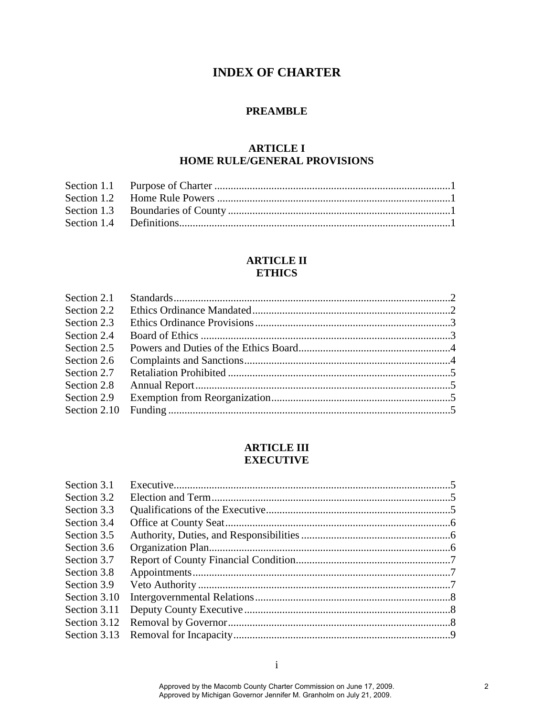# **INDEX OF CHARTER**

# **PREAMBLE**

# **ARTICLE I HOME RULE/GENERAL PROVISIONS**

# **ARTICLE II ETHICS**

# **ARTICLE III EXECUTIVE**

| Section 3.1  |  |
|--------------|--|
| Section 3.2  |  |
| Section 3.3  |  |
| Section 3.4  |  |
| Section 3.5  |  |
| Section 3.6  |  |
| Section 3.7  |  |
| Section 3.8  |  |
| Section 3.9  |  |
| Section 3.10 |  |
| Section 3.11 |  |
| Section 3.12 |  |
| Section 3.13 |  |
|              |  |

i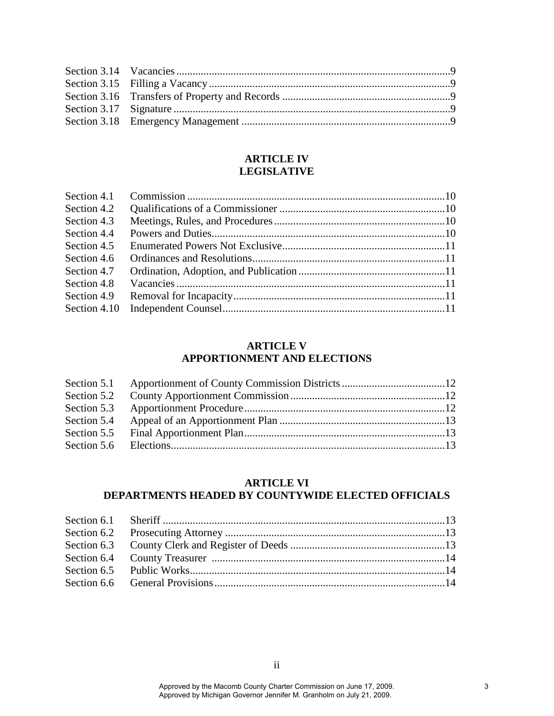# **ARTICLE IV LEGISLATIVE**

# **ARTICLE V APPORTIONMENT AND ELECTIONS**

# **ARTICLE VI**

# **DEPARTMENTS HEADED BY COUNTYWIDE ELECTED OFFICIALS**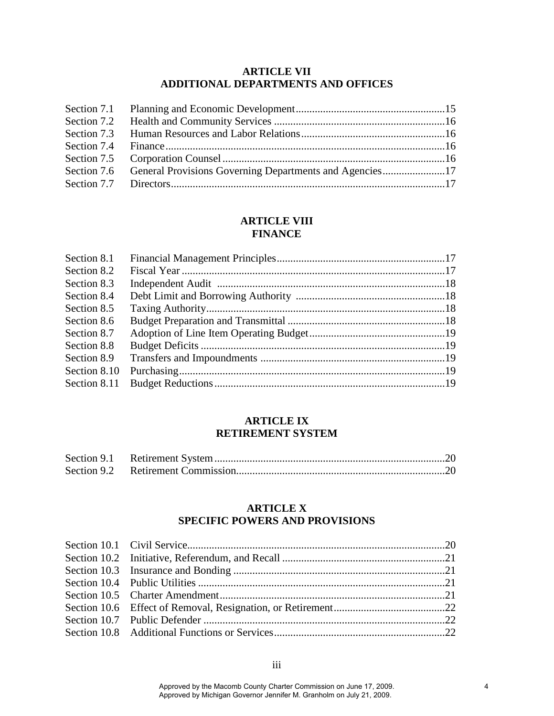# **ARTICLE VII ADDITIONAL DEPARTMENTS AND OFFICES**

# **ARTICLE VIII FINANCE**

| Section 8.1  |  |
|--------------|--|
| Section 8.2  |  |
| Section 8.3  |  |
| Section 8.4  |  |
| Section 8.5  |  |
| Section 8.6  |  |
| Section 8.7  |  |
| Section 8.8  |  |
| Section 8.9  |  |
| Section 8.10 |  |
| Section 8.11 |  |

#### **ARTICLE IX RETIREMENT SYSTEM**

# **ARTICLE X SPECIFIC POWERS AND PROVISIONS**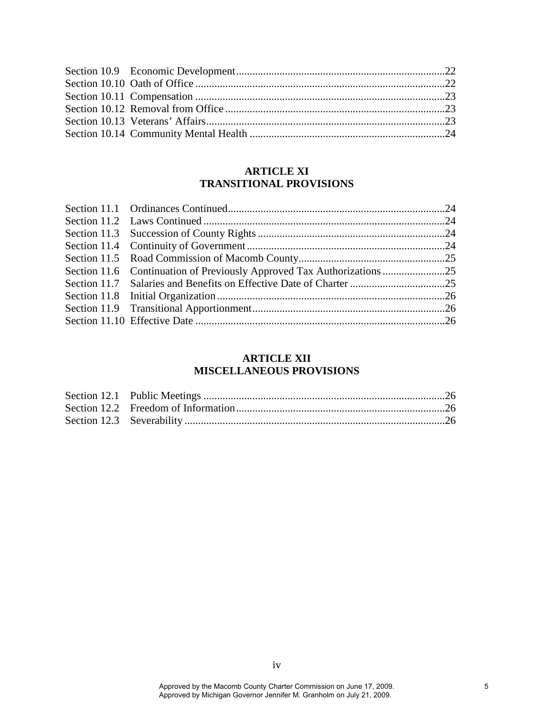# **ARTICLE XI TRANSITIONAL PROVISIONS**

# **ARTICLE XII MISCELLANEOUS PROVISIONS**

iv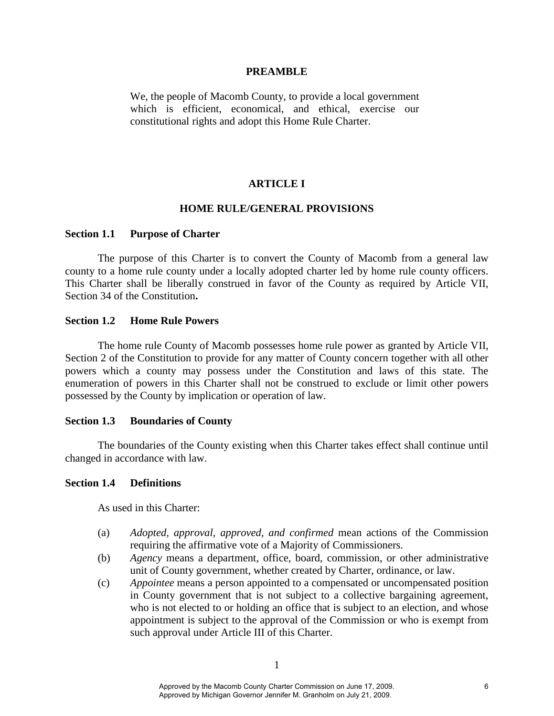#### **PREAMBLE**

We, the people of Macomb County, to provide a local government which is efficient, economical, and ethical, exercise our constitutional rights and adopt this Home Rule Charter.

#### **ARTICLE I**

#### **HOME RULE/GENERAL PROVISIONS**

#### **Section 1.1 Purpose of Charter**

The purpose of this Charter is to convert the County of Macomb from a general law county to a home rule county under a locally adopted charter led by home rule county officers. This Charter shall be liberally construed in favor of the County as required by Article VII, Section 34 of the Constitution**.** 

#### **Section 1.2 Home Rule Powers**

The home rule County of Macomb possesses home rule power as granted by Article VII, Section 2 of the Constitution to provide for any matter of County concern together with all other powers which a county may possess under the Constitution and laws of this state. The enumeration of powers in this Charter shall not be construed to exclude or limit other powers possessed by the County by implication or operation of law.

#### **Section 1.3 Boundaries of County**

The boundaries of the County existing when this Charter takes effect shall continue until changed in accordance with law.

#### **Section 1.4 Definitions**

As used in this Charter:

- (a) *Adopted, approval, approved, and confirmed* mean actions of the Commission requiring the affirmative vote of a Majority of Commissioners.
- (b) *Agency* means a department, office, board, commission, or other administrative unit of County government, whether created by Charter, ordinance, or law.
- (c) *Appointee* means a person appointed to a compensated or uncompensated position in County government that is not subject to a collective bargaining agreement, who is not elected to or holding an office that is subject to an election, and whose appointment is subject to the approval of the Commission or who is exempt from such approval under Article III of this Charter.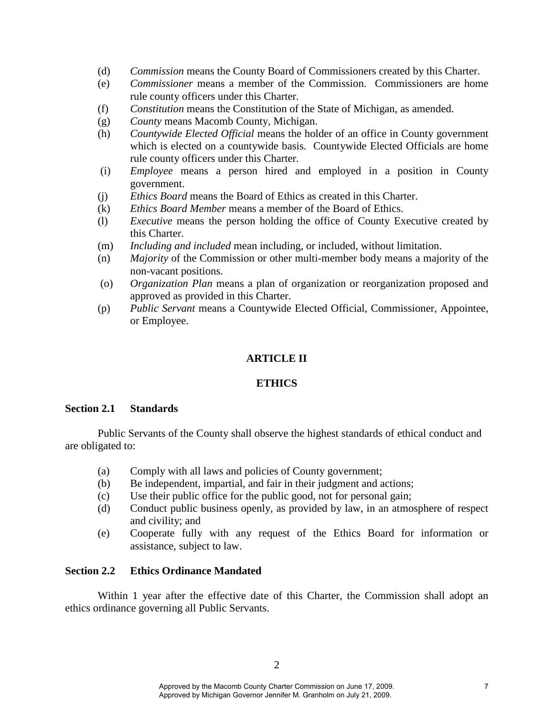- (d) *Commission* means the County Board of Commissioners created by this Charter.
- (e) *Commissioner* means a member of the Commission. Commissioners are home rule county officers under this Charter.
- (f) *Constitution* means the Constitution of the State of Michigan, as amended.
- (g) *County* means Macomb County, Michigan.
- (h) *Countywide Elected Official* means the holder of an office in County government which is elected on a countywide basis. Countywide Elected Officials are home rule county officers under this Charter.
- (i) *Employee* means a person hired and employed in a position in County government.
- (j) *Ethics Board* means the Board of Ethics as created in this Charter.
- (k) *Ethics Board Member* means a member of the Board of Ethics.
- (l) *Executive* means the person holding the office of County Executive created by this Charter.
- (m) *Including and included* mean including, or included, without limitation.
- (n) *Majority* of the Commission or other multi-member body means a majority of the non-vacant positions.
- (o) *Organization Plan* means a plan of organization or reorganization proposed and approved as provided in this Charter.
- (p) *Public Servant* means a Countywide Elected Official, Commissioner, Appointee, or Employee.

# **ARTICLE II**

# **ETHICS**

#### **Section 2.1 Standards**

Public Servants of the County shall observe the highest standards of ethical conduct and are obligated to:

- (a) Comply with all laws and policies of County government;
- (b) Be independent, impartial, and fair in their judgment and actions;
- (c) Use their public office for the public good, not for personal gain;
- (d) Conduct public business openly, as provided by law, in an atmosphere of respect and civility; and
- (e) Cooperate fully with any request of the Ethics Board for information or assistance, subject to law.

#### **Section 2.2 Ethics Ordinance Mandated**

Within 1 year after the effective date of this Charter, the Commission shall adopt an ethics ordinance governing all Public Servants.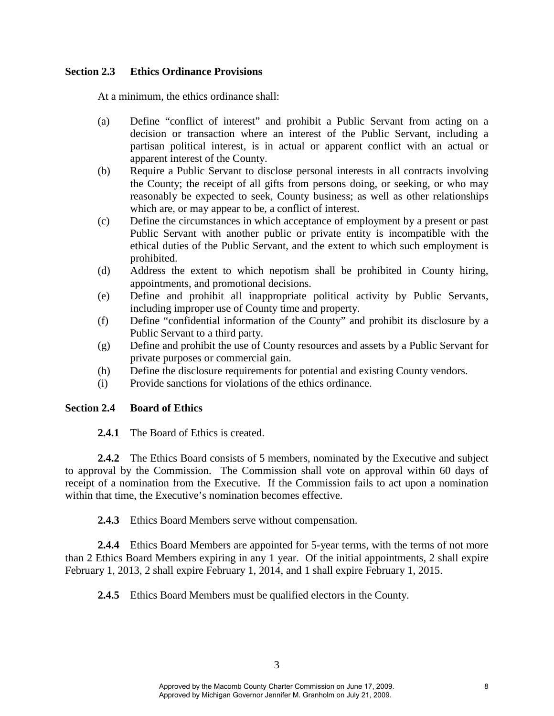# **Section 2.3 Ethics Ordinance Provisions**

At a minimum, the ethics ordinance shall:

- (a) Define "conflict of interest" and prohibit a Public Servant from acting on a decision or transaction where an interest of the Public Servant, including a partisan political interest, is in actual or apparent conflict with an actual or apparent interest of the County.
- (b) Require a Public Servant to disclose personal interests in all contracts involving the County; the receipt of all gifts from persons doing, or seeking, or who may reasonably be expected to seek, County business; as well as other relationships which are, or may appear to be, a conflict of interest.
- (c) Define the circumstances in which acceptance of employment by a present or past Public Servant with another public or private entity is incompatible with the ethical duties of the Public Servant, and the extent to which such employment is prohibited.
- (d) Address the extent to which nepotism shall be prohibited in County hiring, appointments, and promotional decisions.
- (e)Define and prohibit all inappropriate political activity by Public Servants, including improper use of County time and property.
- (f)Define "confidential information of the County" and prohibit its disclosure by a Public Servant to a third party.
- (g) Define and prohibit the use of County resources and assets by a Public Servant for private purposes or commercial gain.
- (h) Define the disclosure requirements for potential and existing County vendors.
- (i) Provide sanctions for violations of the ethics ordinance.

# **Section 2.4 Board of Ethics**

**2.4.1** The Board of Ethics is created.

**2.4.2** The Ethics Board consists of 5 members, nominated by the Executive and subject to approval by the Commission. The Commission shall vote on approval within 60 days of receipt of a nomination from the Executive. If the Commission fails to act upon a nomination within that time, the Executive's nomination becomes effective.

**2.4.3** Ethics Board Members serve without compensation.

**2.4.4** Ethics Board Members are appointed for 5-year terms, with the terms of not more than 2 Ethics Board Members expiring in any 1 year. Of the initial appointments, 2 shall expire February 1, 2013, 2 shall expire February 1, 2014, and 1 shall expire February 1, 2015.

**2.4.5** Ethics Board Members must be qualified electors in the County.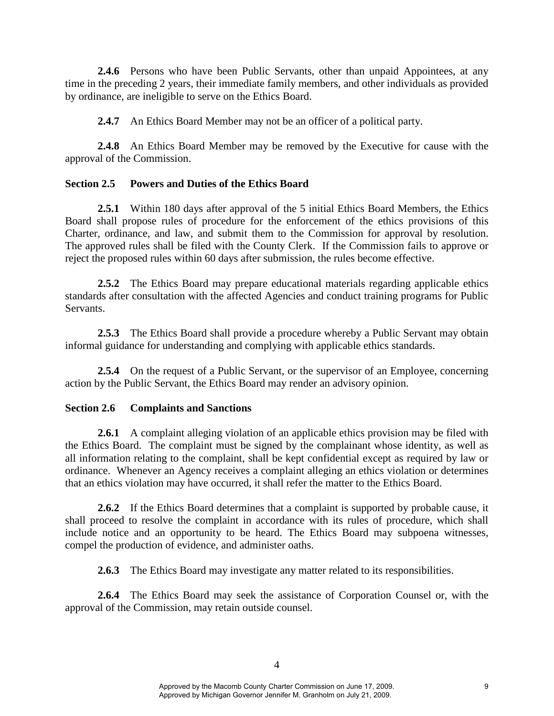**2.4.6** Persons who have been Public Servants, other than unpaid Appointees, at any time in the preceding 2 years, their immediate family members, and other individuals as provided by ordinance, are ineligible to serve on the Ethics Board.

**2.4.7** An Ethics Board Member may not be an officer of a political party.

**2.4.8** An Ethics Board Member may be removed by the Executive for cause with the approval of the Commission.

# **Section 2.5 Powers and Duties of the Ethics Board**

**2.5.1** Within 180 days after approval of the 5 initial Ethics Board Members, the Ethics Board shall propose rules of procedure for the enforcement of the ethics provisions of this Charter, ordinance, and law, and submit them to the Commission for approval by resolution. The approved rules shall be filed with the County Clerk. If the Commission fails to approve or reject the proposed rules within 60 days after submission, the rules become effective.

**2.5.2** The Ethics Board may prepare educational materials regarding applicable ethics standards after consultation with the affected Agencies and conduct training programs for Public Servants.

**2.5.3** The Ethics Board shall provide a procedure whereby a Public Servant may obtain informal guidance for understanding and complying with applicable ethics standards.

**2.5.4** On the request of a Public Servant, or the supervisor of an Employee, concerning action by the Public Servant, the Ethics Board may render an advisory opinion.

# **Section 2.6 Complaints and Sanctions**

2.6.1 A complaint alleging violation of an applicable ethics provision may be filed with the Ethics Board. The complaint must be signed by the complainant whose identity, as well as all information relating to the complaint, shall be kept confidential except as required by law or ordinance. Whenever an Agency receives a complaint alleging an ethics violation or determines that an ethics violation may have occurred, it shall refer the matter to the Ethics Board.

**2.6.2** If the Ethics Board determines that a complaint is supported by probable cause, it shall proceed to resolve the complaint in accordance with its rules of procedure, which shall include notice and an opportunity to be heard. The Ethics Board may subpoena witnesses, compel the production of evidence, and administer oaths.

**2.6.3** The Ethics Board may investigate any matter related to its responsibilities.

**2.6.4** The Ethics Board may seek the assistance of Corporation Counsel or, with the approval of the Commission, may retain outside counsel.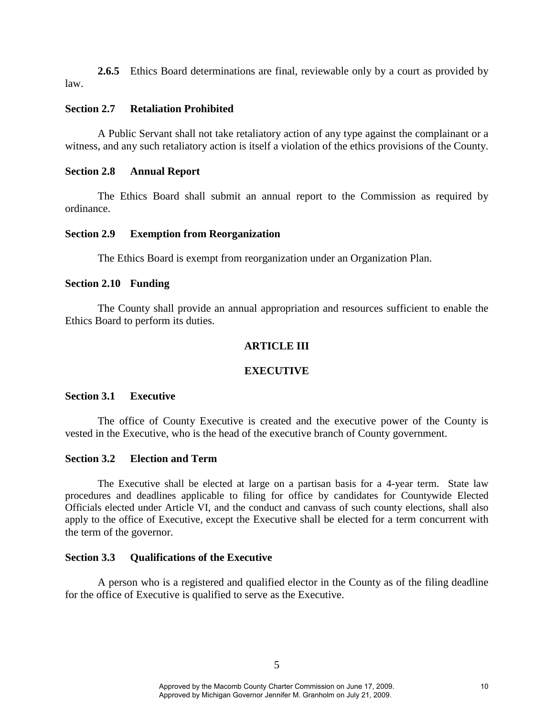**2.6.5** Ethics Board determinations are final, reviewable only by a court as provided by law.

# **Section 2.7 Retaliation Prohibited**

A Public Servant shall not take retaliatory action of any type against the complainant or a witness, and any such retaliatory action is itself a violation of the ethics provisions of the County.

# **Section 2.8 Annual Report**

The Ethics Board shall submit an annual report to the Commission as required by ordinance.

# **Section 2.9 Exemption from Reorganization**

The Ethics Board is exempt from reorganization under an Organization Plan.

#### **Section 2.10 Funding**

The County shall provide an annual appropriation and resources sufficient to enable the Ethics Board to perform its duties.

# **ARTICLE III**

# **EXECUTIVE**

#### **Section 3.1 Executive**

The office of County Executive is created and the executive power of the County is vested in the Executive, who is the head of the executive branch of County government.

#### **Section 3.2 Election and Term**

The Executive shall be elected at large on a partisan basis for a 4-year term. State law procedures and deadlines applicable to filing for office by candidates for Countywide Elected Officials elected under Article VI, and the conduct and canvass of such county elections, shall also apply to the office of Executive, except the Executive shall be elected for a term concurrent with the term of the governor.

# **Section 3.3 Qualifications of the Executive**

A person who is a registered and qualified elector in the County as of the filing deadline for the office of Executive is qualified to serve as the Executive.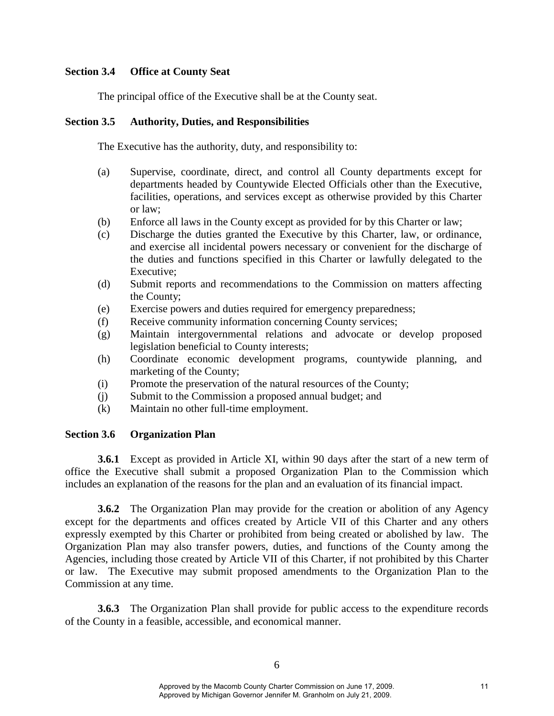# **Section 3.4 Office at County Seat**

The principal office of the Executive shall be at the County seat.

# **Section 3.5 Authority, Duties, and Responsibilities**

The Executive has the authority, duty, and responsibility to:

- (a) Supervise, coordinate, direct, and control all County departments except for departments headed by Countywide Elected Officials other than the Executive, facilities, operations, and services except as otherwise provided by this Charter or law;
- (b) Enforce all laws in the County except as provided for by this Charter or law;
- (c) Discharge the duties granted the Executive by this Charter, law, or ordinance, and exercise all incidental powers necessary or convenient for the discharge of the duties and functions specified in this Charter or lawfully delegated to the Executive;
- (d) Submit reports and recommendations to the Commission on matters affecting the County;
- (e) Exercise powers and duties required for emergency preparedness;
- (f) Receive community information concerning County services;
- (g) Maintain intergovernmental relations and advocate or develop proposed legislation beneficial to County interests;
- (h) Coordinate economic development programs, countywide planning, and marketing of the County;
- (i) Promote the preservation of the natural resources of the County;
- (j) Submit to the Commission a proposed annual budget; and
- (k) Maintain no other full-time employment.

# **Section 3.6 Organization Plan**

**3.6.1** Except as provided in Article XI, within 90 days after the start of a new term of office the Executive shall submit a proposed Organization Plan to the Commission which includes an explanation of the reasons for the plan and an evaluation of its financial impact.

**3.6.2** The Organization Plan may provide for the creation or abolition of any Agency except for the departments and offices created by Article VII of this Charter and any others expressly exempted by this Charter or prohibited from being created or abolished by law. The Organization Plan may also transfer powers, duties, and functions of the County among the Agencies, including those created by Article VII of this Charter, if not prohibited by this Charter or law. The Executive may submit proposed amendments to the Organization Plan to the Commission at any time.

**3.6.3** The Organization Plan shall provide for public access to the expenditure records of the County in a feasible, accessible, and economical manner.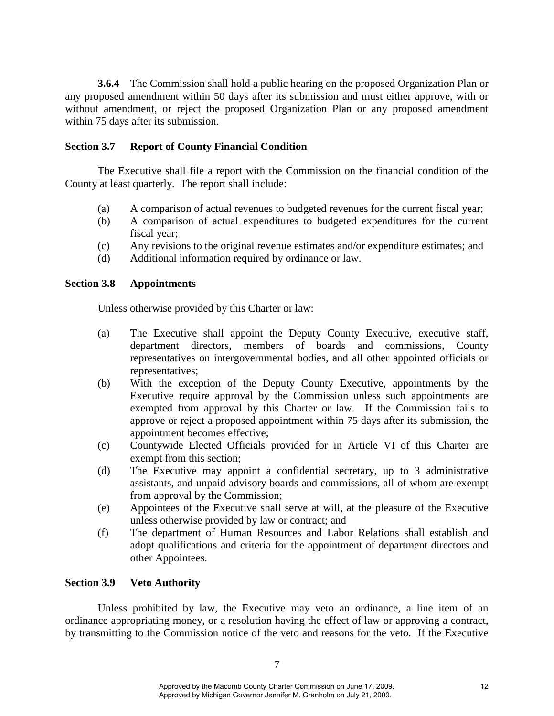**3.6.4** The Commission shall hold a public hearing on the proposed Organization Plan or any proposed amendment within 50 days after its submission and must either approve, with or without amendment, or reject the proposed Organization Plan or any proposed amendment within 75 days after its submission.

# **Section 3.7 Report of County Financial Condition**

The Executive shall file a report with the Commission on the financial condition of the County at least quarterly. The report shall include:

- (a) A comparison of actual revenues to budgeted revenues for the current fiscal year;
- (b) A comparison of actual expenditures to budgeted expenditures for the current fiscal year;
- (c) Any revisions to the original revenue estimates and/or expenditure estimates; and
- (d) Additional information required by ordinance or law.

#### **Section 3.8 Appointments**

Unless otherwise provided by this Charter or law:

- (a) The Executive shall appoint the Deputy County Executive, executive staff, department directors, members of boards and commissions, County representatives on intergovernmental bodies, and all other appointed officials or representatives;
- (b) With the exception of the Deputy County Executive, appointments by the Executive require approval by the Commission unless such appointments are exempted from approval by this Charter or law. If the Commission fails to approve or reject a proposed appointment within 75 days after its submission, the appointment becomes effective;
- (c) Countywide Elected Officials provided for in Article VI of this Charter are exempt from this section;
- (d) The Executive may appoint a confidential secretary, up to 3 administrative assistants, and unpaid advisory boards and commissions, all of whom are exempt from approval by the Commission;
- (e) Appointees of the Executive shall serve at will, at the pleasure of the Executive unless otherwise provided by law or contract; and
- (f) The department of Human Resources and Labor Relations shall establish and adopt qualifications and criteria for the appointment of department directors and other Appointees.

# **Section 3.9 Veto Authority**

Unless prohibited by law, the Executive may veto an ordinance, a line item of an ordinance appropriating money, or a resolution having the effect of law or approving a contract, by transmitting to the Commission notice of the veto and reasons for the veto. If the Executive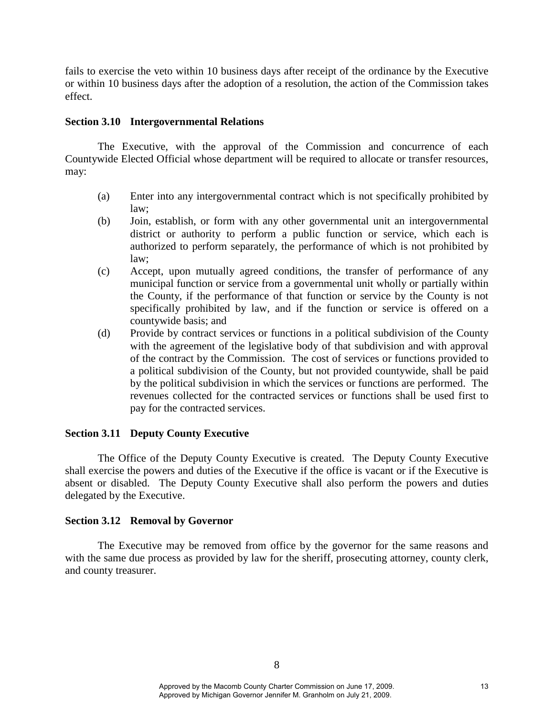fails to exercise the veto within 10 business days after receipt of the ordinance by the Executive or within 10 business days after the adoption of a resolution, the action of the Commission takes effect.

# **Section 3.10 Intergovernmental Relations**

The Executive, with the approval of the Commission and concurrence of each Countywide Elected Official whose department will be required to allocate or transfer resources, may:

- (a) Enter into any intergovernmental contract which is not specifically prohibited by law;
- (b) Join, establish, or form with any other governmental unit an intergovernmental district or authority to perform a public function or service, which each is authorized to perform separately, the performance of which is not prohibited by law;
- (c) Accept, upon mutually agreed conditions, the transfer of performance of any municipal function or service from a governmental unit wholly or partially within the County, if the performance of that function or service by the County is not specifically prohibited by law, and if the function or service is offered on a countywide basis; and
- (d) Provide by contract services or functions in a political subdivision of the County with the agreement of the legislative body of that subdivision and with approval of the contract by the Commission. The cost of services or functions provided to a political subdivision of the County, but not provided countywide, shall be paid by the political subdivision in which the services or functions are performed. The revenues collected for the contracted services or functions shall be used first to pay for the contracted services.

# **Section 3.11 Deputy County Executive**

The Office of the Deputy County Executive is created. The Deputy County Executive shall exercise the powers and duties of the Executive if the office is vacant or if the Executive is absent or disabled. The Deputy County Executive shall also perform the powers and duties delegated by the Executive.

#### **Section 3.12 Removal by Governor**

The Executive may be removed from office by the governor for the same reasons and with the same due process as provided by law for the sheriff, prosecuting attorney, county clerk, and county treasurer.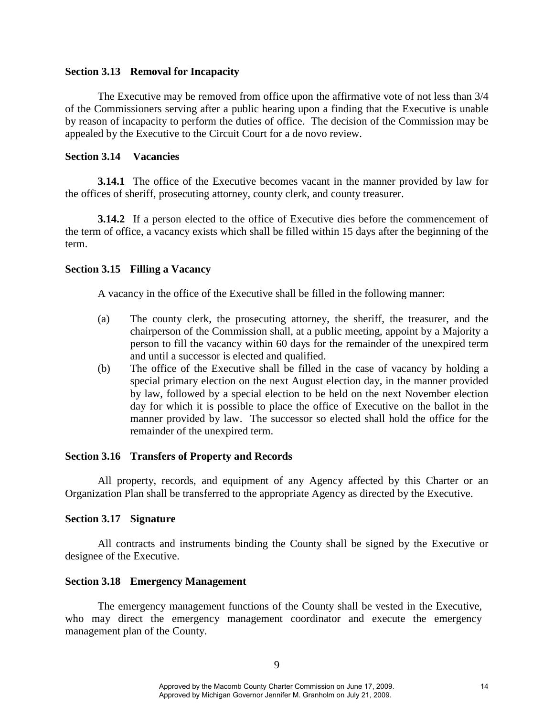#### **Section 3.13 Removal for Incapacity**

The Executive may be removed from office upon the affirmative vote of not less than 3/4 of the Commissioners serving after a public hearing upon a finding that the Executive is unable by reason of incapacity to perform the duties of office. The decision of the Commission may be appealed by the Executive to the Circuit Court for a de novo review.

# **Section 3.14 Vacancies**

**3.14.1** The office of the Executive becomes vacant in the manner provided by law for the offices of sheriff, prosecuting attorney, county clerk, and county treasurer.

**3.14.2** If a person elected to the office of Executive dies before the commencement of the term of office, a vacancy exists which shall be filled within 15 days after the beginning of the term.

# **Section 3.15 Filling a Vacancy**

A vacancy in the office of the Executive shall be filled in the following manner:

- (a) The county clerk, the prosecuting attorney, the sheriff, the treasurer, and the chairperson of the Commission shall, at a public meeting, appoint by a Majority a person to fill the vacancy within 60 days for the remainder of the unexpired term and until a successor is elected and qualified.
- (b) The office of the Executive shall be filled in the case of vacancy by holding a special primary election on the next August election day, in the manner provided by law, followed by a special election to be held on the next November election day for which it is possible to place the office of Executive on the ballot in the manner provided by law. The successor so elected shall hold the office for the remainder of the unexpired term.

# **Section 3.16 Transfers of Property and Records**

All property, records, and equipment of any Agency affected by this Charter or an Organization Plan shall be transferred to the appropriate Agency as directed by the Executive.

# **Section 3.17 Signature**

All contracts and instruments binding the County shall be signed by the Executive or designee of the Executive.

#### **Section 3.18 Emergency Management**

The emergency management functions of the County shall be vested in the Executive, who may direct the emergency management coordinator and execute the emergency management plan of the County.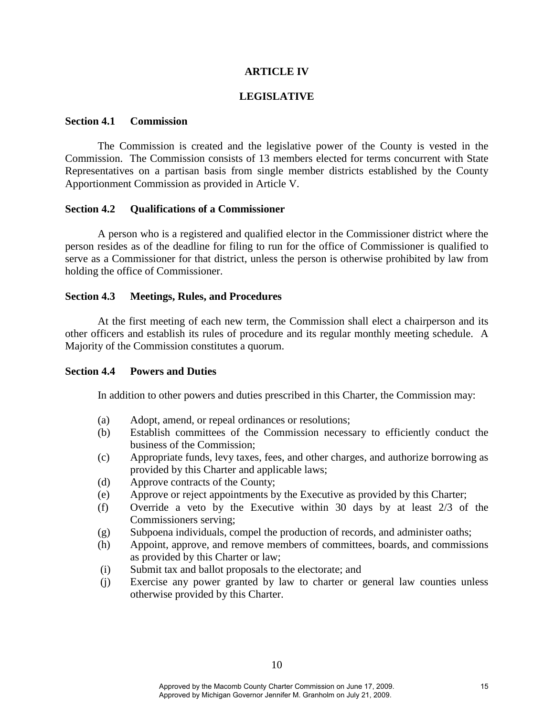# **ARTICLE IV**

#### **LEGISLATIVE**

#### **Section 4.1 Commission**

The Commission is created and the legislative power of the County is vested in the Commission. The Commission consists of 13 members elected for terms concurrent with State Representatives on a partisan basis from single member districts established by the County Apportionment Commission as provided in Article V.

#### **Section 4.2 Qualifications of a Commissioner**

A person who is a registered and qualified elector in the Commissioner district where the person resides as of the deadline for filing to run for the office of Commissioner is qualified to serve as a Commissioner for that district, unless the person is otherwise prohibited by law from holding the office of Commissioner.

#### **Section 4.3 Meetings, Rules, and Procedures**

At the first meeting of each new term, the Commission shall elect a chairperson and its other officers and establish its rules of procedure and its regular monthly meeting schedule. A Majority of the Commission constitutes a quorum.

#### **Section 4.4 Powers and Duties**

In addition to other powers and duties prescribed in this Charter, the Commission may:

- (a) Adopt, amend, or repeal ordinances or resolutions;
- (b) Establish committees of the Commission necessary to efficiently conduct the business of the Commission;
- (c) Appropriate funds, levy taxes, fees, and other charges, and authorize borrowing as provided by this Charter and applicable laws;
- (d) Approve contracts of the County;
- (e) Approve or reject appointments by the Executive as provided by this Charter;
- (f) Override a veto by the Executive within 30 days by at least 2/3 of the Commissioners serving;
- (g) Subpoena individuals, compel the production of records, and administer oaths;
- (h) Appoint, approve, and remove members of committees, boards, and commissions as provided by this Charter or law;
- (i) Submit tax and ballot proposals to the electorate; and
- (j) Exercise any power granted by law to charter or general law counties unless otherwise provided by this Charter.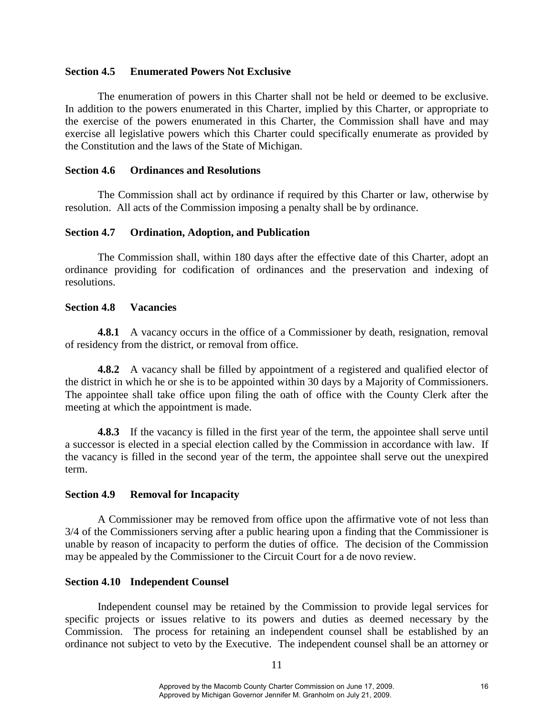# **Section 4.5 Enumerated Powers Not Exclusive**

The enumeration of powers in this Charter shall not be held or deemed to be exclusive. In addition to the powers enumerated in this Charter, implied by this Charter, or appropriate to the exercise of the powers enumerated in this Charter, the Commission shall have and may exercise all legislative powers which this Charter could specifically enumerate as provided by the Constitution and the laws of the State of Michigan.

#### **Section 4.6 Ordinances and Resolutions**

The Commission shall act by ordinance if required by this Charter or law, otherwise by resolution. All acts of the Commission imposing a penalty shall be by ordinance.

#### **Section 4.7 Ordination, Adoption, and Publication**

The Commission shall, within 180 days after the effective date of this Charter, adopt an ordinance providing for codification of ordinances and the preservation and indexing of resolutions.

#### **Section 4.8 Vacancies**

**4.8.1** A vacancy occurs in the office of a Commissioner by death, resignation, removal of residency from the district, or removal from office.

**4.8.2** A vacancy shall be filled by appointment of a registered and qualified elector of the district in which he or she is to be appointed within 30 days by a Majority of Commissioners. The appointee shall take office upon filing the oath of office with the County Clerk after the meeting at which the appointment is made.

**4.8.3** If the vacancy is filled in the first year of the term, the appointee shall serve until a successor is elected in a special election called by the Commission in accordance with law. If the vacancy is filled in the second year of the term, the appointee shall serve out the unexpired term.

# **Section 4.9 Removal for Incapacity**

A Commissioner may be removed from office upon the affirmative vote of not less than 3/4 of the Commissioners serving after a public hearing upon a finding that the Commissioner is unable by reason of incapacity to perform the duties of office. The decision of the Commission may be appealed by the Commissioner to the Circuit Court for a de novo review.

# **Section 4.10 Independent Counsel**

Independent counsel may be retained by the Commission to provide legal services for specific projects or issues relative to its powers and duties as deemed necessary by the Commission. The process for retaining an independent counsel shall be established by an ordinance not subject to veto by the Executive. The independent counsel shall be an attorney or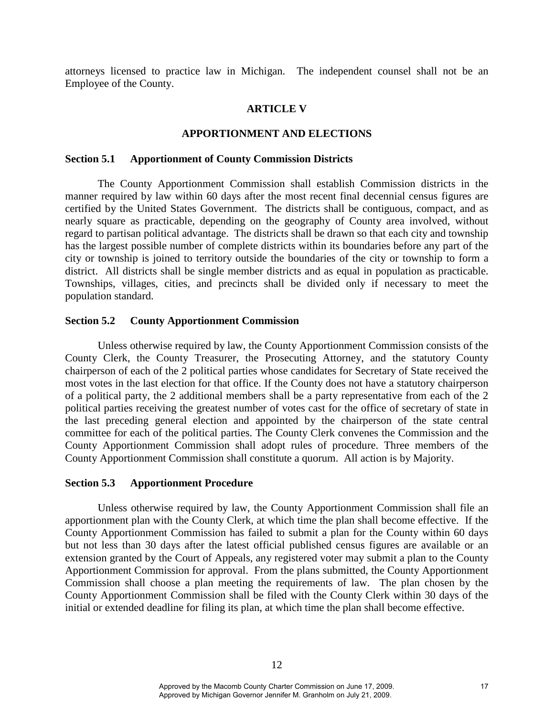attorneys licensed to practice law in Michigan. The independent counsel shall not be an Employee of the County.

#### **ARTICLE V**

#### **APPORTIONMENT AND ELECTIONS**

#### **Section 5.1 Apportionment of County Commission Districts**

The County Apportionment Commission shall establish Commission districts in the manner required by law within 60 days after the most recent final decennial census figures are certified by the United States Government. The districts shall be contiguous, compact, and as nearly square as practicable, depending on the geography of County area involved, without regard to partisan political advantage. The districts shall be drawn so that each city and township has the largest possible number of complete districts within its boundaries before any part of the city or township is joined to territory outside the boundaries of the city or township to form a district. All districts shall be single member districts and as equal in population as practicable. Townships, villages, cities, and precincts shall be divided only if necessary to meet the population standard.

#### **Section 5.2 County Apportionment Commission**

Unless otherwise required by law, the County Apportionment Commission consists of the County Clerk, the County Treasurer, the Prosecuting Attorney, and the statutory County chairperson of each of the 2 political parties whose candidates for Secretary of State received the most votes in the last election for that office. If the County does not have a statutory chairperson of a political party, the 2 additional members shall be a party representative from each of the 2 political parties receiving the greatest number of votes cast for the office of secretary of state in the last preceding general election and appointed by the chairperson of the state central committee for each of the political parties. The County Clerk convenes the Commission and the County Apportionment Commission shall adopt rules of procedure. Three members of the County Apportionment Commission shall constitute a quorum. All action is by Majority.

#### **Section 5.3 Apportionment Procedure**

Unless otherwise required by law, the County Apportionment Commission shall file an apportionment plan with the County Clerk, at which time the plan shall become effective. If the County Apportionment Commission has failed to submit a plan for the County within 60 days but not less than 30 days after the latest official published census figures are available or an extension granted by the Court of Appeals, any registered voter may submit a plan to the County Apportionment Commission for approval. From the plans submitted, the County Apportionment Commission shall choose a plan meeting the requirements of law. The plan chosen by the County Apportionment Commission shall be filed with the County Clerk within 30 days of the initial or extended deadline for filing its plan, at which time the plan shall become effective.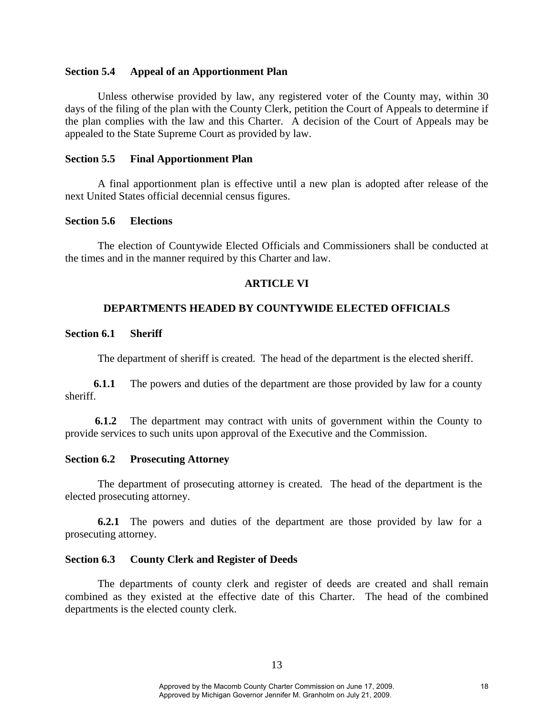#### **Section 5.4 Appeal of an Apportionment Plan**

Unless otherwise provided by law, any registered voter of the County may, within 30 days of the filing of the plan with the County Clerk, petition the Court of Appeals to determine if the plan complies with the law and this Charter. A decision of the Court of Appeals may be appealed to the State Supreme Court as provided by law.

#### **Section 5.5 Final Apportionment Plan**

A final apportionment plan is effective until a new plan is adopted after release of the next United States official decennial census figures.

# **Section 5.6 Elections**

The election of Countywide Elected Officials and Commissioners shall be conducted at the times and in the manner required by this Charter and law.

# **ARTICLE VI**

# **DEPARTMENTS HEADED BY COUNTYWIDE ELECTED OFFICIALS**

# **Section 6.1 Sheriff**

The department of sheriff is created. The head of the department is the elected sheriff.

**6.1.1** The powers and duties of the department are those provided by law for a county sheriff.

 **6.1.2** The department may contract with units of government within the County to provide services to such units upon approval of the Executive and the Commission.

#### **Section 6.2 Prosecuting Attorney**

The department of prosecuting attorney is created. The head of the department is the elected prosecuting attorney.

**6.2.1** The powers and duties of the department are those provided by law for a prosecuting attorney.

#### **Section 6.3 County Clerk and Register of Deeds**

The departments of county clerk and register of deeds are created and shall remain combined as they existed at the effective date of this Charter. The head of the combined departments is the elected county clerk.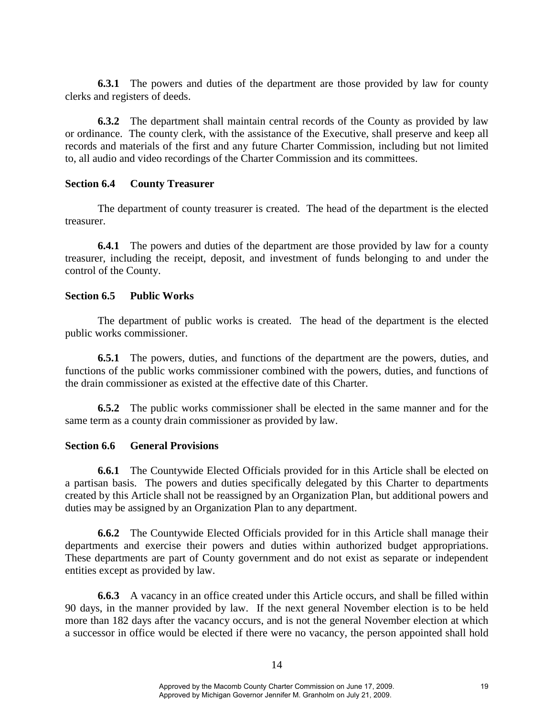**6.3.1** The powers and duties of the department are those provided by law for county clerks and registers of deeds.

 **6.3.2** The department shall maintain central records of the County as provided by law or ordinance. The county clerk, with the assistance of the Executive, shall preserve and keep all records and materials of the first and any future Charter Commission, including but not limited to, all audio and video recordings of the Charter Commission and its committees.

#### **Section 6.4 County Treasurer**

The department of county treasurer is created. The head of the department is the elected treasurer.

**6.4.1** The powers and duties of the department are those provided by law for a county treasurer, including the receipt, deposit, and investment of funds belonging to and under the control of the County.

# **Section 6.5 Public Works**

The department of public works is created. The head of the department is the elected public works commissioner.

**6.5.1** The powers, duties, and functions of the department are the powers, duties, and functions of the public works commissioner combined with the powers, duties, and functions of the drain commissioner as existed at the effective date of this Charter.

 **6.5.2** The public works commissioner shall be elected in the same manner and for the same term as a county drain commissioner as provided by law.

#### **Section 6.6 General Provisions**

**6.6.1** The Countywide Elected Officials provided for in this Article shall be elected on a partisan basis. The powers and duties specifically delegated by this Charter to departments created by this Article shall not be reassigned by an Organization Plan, but additional powers and duties may be assigned by an Organization Plan to any department.

 **6.6.2** The Countywide Elected Officials provided for in this Article shall manage their departments and exercise their powers and duties within authorized budget appropriations. These departments are part of County government and do not exist as separate or independent entities except as provided by law.

 **6.6.3** A vacancy in an office created under this Article occurs, and shall be filled within 90 days, in the manner provided by law. If the next general November election is to be held more than 182 days after the vacancy occurs, and is not the general November election at which a successor in office would be elected if there were no vacancy, the person appointed shall hold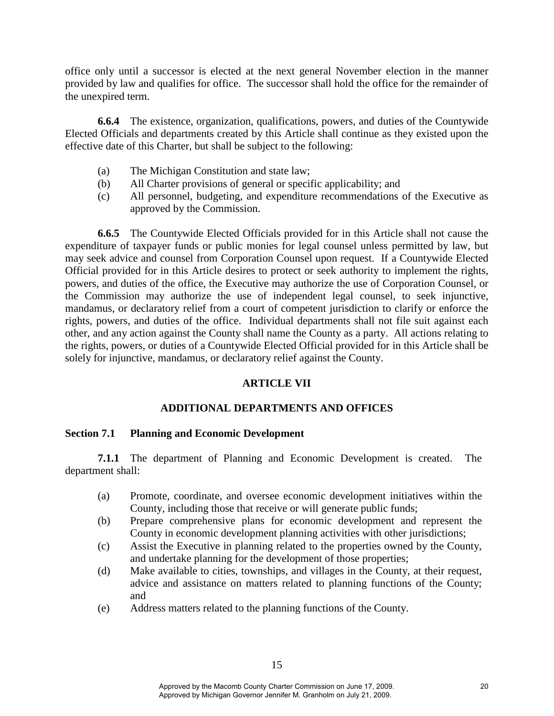office only until a successor is elected at the next general November election in the manner provided by law and qualifies for office. The successor shall hold the office for the remainder of the unexpired term.

**6.6.4** The existence, organization, qualifications, powers, and duties of the Countywide Elected Officials and departments created by this Article shall continue as they existed upon the effective date of this Charter, but shall be subject to the following:

- (a) The Michigan Constitution and state law;
- (b) All Charter provisions of general or specific applicability; and
- (c) All personnel, budgeting, and expenditure recommendations of the Executive as approved by the Commission.

**6.6.5** The Countywide Elected Officials provided for in this Article shall not cause the expenditure of taxpayer funds or public monies for legal counsel unless permitted by law, but may seek advice and counsel from Corporation Counsel upon request. If a Countywide Elected Official provided for in this Article desires to protect or seek authority to implement the rights, powers, and duties of the office, the Executive may authorize the use of Corporation Counsel, or the Commission may authorize the use of independent legal counsel, to seek injunctive, mandamus, or declaratory relief from a court of competent jurisdiction to clarify or enforce the rights, powers, and duties of the office. Individual departments shall not file suit against each other, and any action against the County shall name the County as a party. All actions relating to the rights, powers, or duties of a Countywide Elected Official provided for in this Article shall be solely for injunctive, mandamus, or declaratory relief against the County.

# **ARTICLE VII**

# **ADDITIONAL DEPARTMENTS AND OFFICES**

# **Section 7.1 Planning and Economic Development**

**7.1.1** The department of Planning and Economic Development is created. The department shall:

- (a) Promote, coordinate, and oversee economic development initiatives within the County, including those that receive or will generate public funds;
- (b) Prepare comprehensive plans for economic development and represent the County in economic development planning activities with other jurisdictions;
- (c) Assist the Executive in planning related to the properties owned by the County, and undertake planning for the development of those properties;
- (d) Make available to cities, townships, and villages in the County, at their request, advice and assistance on matters related to planning functions of the County; and
- (e) Address matters related to the planning functions of the County.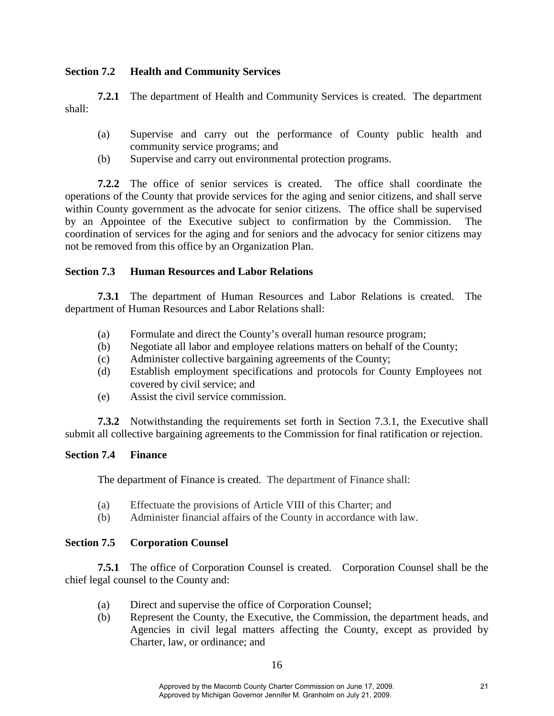# **Section 7.2 Health and Community Services**

**7.2.1** The department of Health and Community Services is created. The department shall:

- (a) Supervise and carry out the performance of County public health and community service programs; and
- (b) Supervise and carry out environmental protection programs.

 **7.2.2** The office of senior services is created. The office shall coordinate the operations of the County that provide services for the aging and senior citizens, and shall serve within County government as the advocate for senior citizens. The office shall be supervised by an Appointee of the Executive subject to confirmation by the Commission. The coordination of services for the aging and for seniors and the advocacy for senior citizens may not be removed from this office by an Organization Plan.

# **Section 7.3 Human Resources and Labor Relations**

**7.3.1** The department of Human Resources and Labor Relations is created. The department of Human Resources and Labor Relations shall:

- (a) Formulate and direct the County's overall human resource program;
- (b) Negotiate all labor and employee relations matters on behalf of the County;
- (c) Administer collective bargaining agreements of the County;
- (d) Establish employment specifications and protocols for County Employees not covered by civil service; and
- (e) Assist the civil service commission.

 **7.3.2** Notwithstanding the requirements set forth in Section 7.3.1, the Executive shall submit all collective bargaining agreements to the Commission for final ratification or rejection.

# **Section 7.4 Finance**

The department of Finance is created. The department of Finance shall:

- (a) Effectuate the provisions of Article VIII of this Charter; and
- (b) Administer financial affairs of the County in accordance with law.

# **Section 7.5 Corporation Counsel**

**7.5.1** The office of Corporation Counsel is created. Corporation Counsel shall be the chief legal counsel to the County and:

- (a) Direct and supervise the office of Corporation Counsel;
- (b) Represent the County, the Executive, the Commission, the department heads, and Agencies in civil legal matters affecting the County, except as provided by Charter, law, or ordinance; and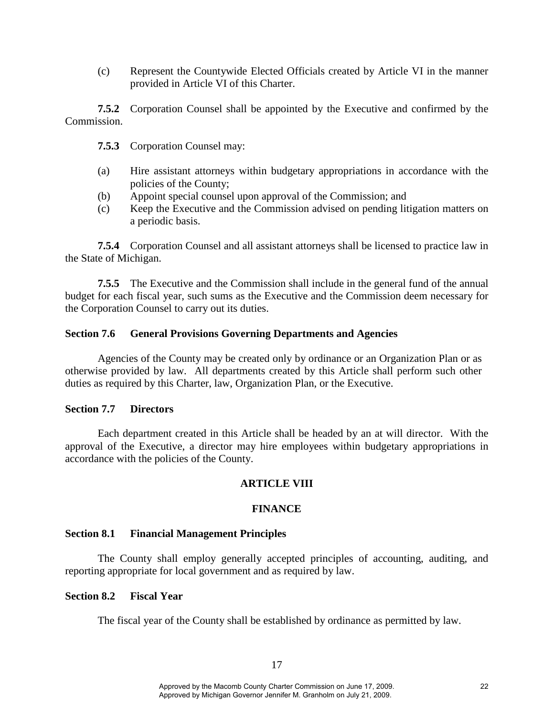(c) Represent the Countywide Elected Officials created by Article VI in the manner provided in Article VI of this Charter.

**7.5.2** Corporation Counsel shall be appointed by the Executive and confirmed by the Commission.

- **7.5.3** Corporation Counsel may:
- (a) Hire assistant attorneys within budgetary appropriations in accordance with the policies of the County;
- (b) Appoint special counsel upon approval of the Commission; and
- (c) Keep the Executive and the Commission advised on pending litigation matters on a periodic basis.

**7.5.4** Corporation Counsel and all assistant attorneys shall be licensed to practice law in the State of Michigan.

**7.5.5** The Executive and the Commission shall include in the general fund of the annual budget for each fiscal year, such sums as the Executive and the Commission deem necessary for the Corporation Counsel to carry out its duties.

# **Section 7.6 General Provisions Governing Departments and Agencies**

Agencies of the County may be created only by ordinance or an Organization Plan or as otherwise provided by law. All departments created by this Article shall perform such other duties as required by this Charter, law, Organization Plan, or the Executive.

#### **Section 7.7 Directors**

Each department created in this Article shall be headed by an at will director. With the approval of the Executive, a director may hire employees within budgetary appropriations in accordance with the policies of the County.

# **ARTICLE VIII**

# **FINANCE**

#### **Section 8.1 Financial Management Principles**

The County shall employ generally accepted principles of accounting, auditing, and reporting appropriate for local government and as required by law.

#### **Section 8.2 Fiscal Year**

The fiscal year of the County shall be established by ordinance as permitted by law.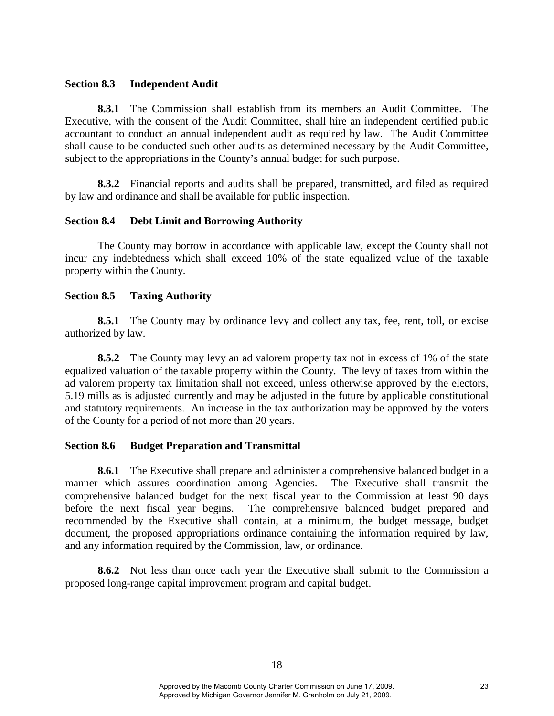#### **Section 8.3 Independent Audit**

**8.3.1** The Commission shall establish from its members an Audit Committee. The Executive, with the consent of the Audit Committee, shall hire an independent certified public accountant to conduct an annual independent audit as required by law. The Audit Committee shall cause to be conducted such other audits as determined necessary by the Audit Committee, subject to the appropriations in the County's annual budget for such purpose.

**8.3.2** Financial reports and audits shall be prepared, transmitted, and filed as required by law and ordinance and shall be available for public inspection.

#### **Section 8.4 Debt Limit and Borrowing Authority**

The County may borrow in accordance with applicable law, except the County shall not incur any indebtedness which shall exceed 10% of the state equalized value of the taxable property within the County.

#### **Section 8.5 Taxing Authority**

**8.5.1** The County may by ordinance levy and collect any tax, fee, rent, toll, or excise authorized by law.

**8.5.2** The County may levy an ad valorem property tax not in excess of 1% of the state equalized valuation of the taxable property within the County. The levy of taxes from within the ad valorem property tax limitation shall not exceed, unless otherwise approved by the electors, 5.19 mills as is adjusted currently and may be adjusted in the future by applicable constitutional and statutory requirements. An increase in the tax authorization may be approved by the voters of the County for a period of not more than 20 years.

#### **Section 8.6 Budget Preparation and Transmittal**

**8.6.1** The Executive shall prepare and administer a comprehensive balanced budget in a manner which assures coordination among Agencies. The Executive shall transmit the comprehensive balanced budget for the next fiscal year to the Commission at least 90 days before the next fiscal year begins. The comprehensive balanced budget prepared and recommended by the Executive shall contain, at a minimum, the budget message, budget document, the proposed appropriations ordinance containing the information required by law, and any information required by the Commission, law, or ordinance.

**8.6.2** Not less than once each year the Executive shall submit to the Commission a proposed long-range capital improvement program and capital budget.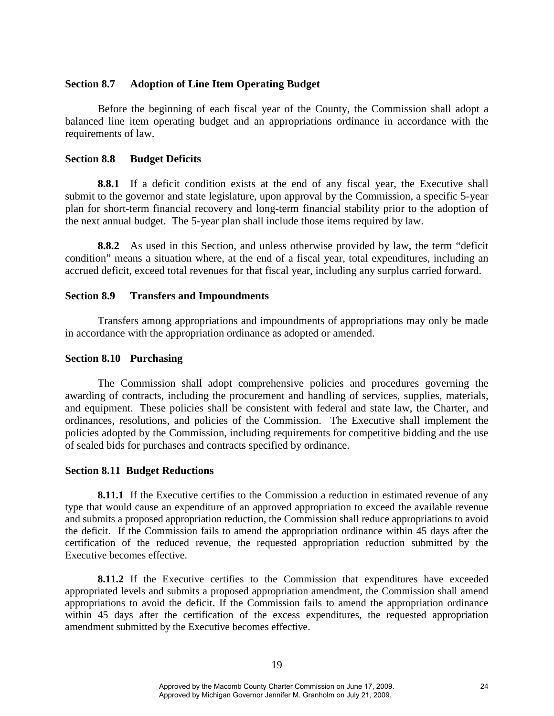#### **Section 8.7 Adoption of Line Item Operating Budget**

Before the beginning of each fiscal year of the County, the Commission shall adopt a balanced line item operating budget and an appropriations ordinance in accordance with the requirements of law.

#### **Section 8.8 Budget Deficits**

**8.8.1** If a deficit condition exists at the end of any fiscal year, the Executive shall submit to the governor and state legislature, upon approval by the Commission, a specific 5-year plan for short-term financial recovery and long-term financial stability prior to the adoption of the next annual budget. The 5-year plan shall include those items required by law.

**8.8.2** As used in this Section, and unless otherwise provided by law, the term "deficit condition" means a situation where, at the end of a fiscal year, total expenditures, including an accrued deficit, exceed total revenues for that fiscal year, including any surplus carried forward.

#### **Section 8.9 Transfers and Impoundments**

Transfers among appropriations and impoundments of appropriations may only be made in accordance with the appropriation ordinance as adopted or amended.

#### **Section 8.10 Purchasing**

The Commission shall adopt comprehensive policies and procedures governing the awarding of contracts, including the procurement and handling of services, supplies, materials, and equipment. These policies shall be consistent with federal and state law, the Charter, and ordinances, resolutions, and policies of the Commission. The Executive shall implement the policies adopted by the Commission, including requirements for competitive bidding and the use of sealed bids for purchases and contracts specified by ordinance.

#### **Section 8.11 Budget Reductions**

**8.11.1** If the Executive certifies to the Commission a reduction in estimated revenue of any type that would cause an expenditure of an approved appropriation to exceed the available revenue and submits a proposed appropriation reduction, the Commission shall reduce appropriations to avoid the deficit. If the Commission fails to amend the appropriation ordinance within 45 days after the certification of the reduced revenue, the requested appropriation reduction submitted by the Executive becomes effective.

**8.11.2** If the Executive certifies to the Commission that expenditures have exceeded appropriated levels and submits a proposed appropriation amendment, the Commission shall amend appropriations to avoid the deficit. If the Commission fails to amend the appropriation ordinance within 45 days after the certification of the excess expenditures, the requested appropriation amendment submitted by the Executive becomes effective.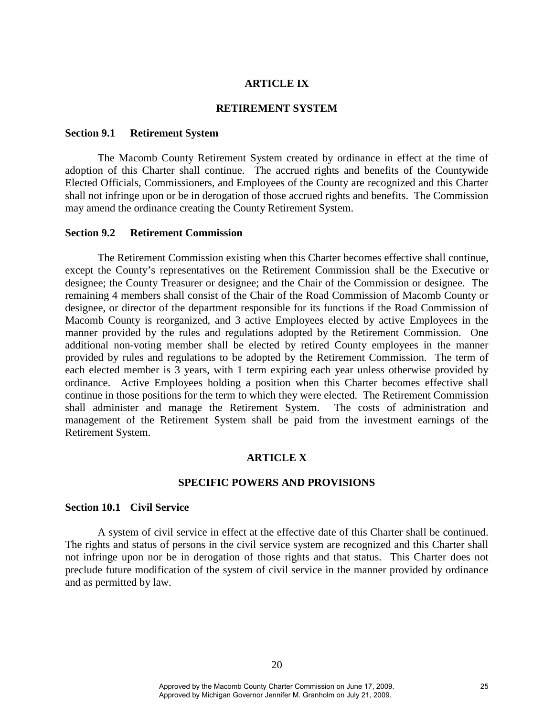#### **ARTICLE IX**

#### **RETIREMENT SYSTEM**

#### **Section 9.1 Retirement System**

The Macomb County Retirement System created by ordinance in effect at the time of adoption of this Charter shall continue. The accrued rights and benefits of the Countywide Elected Officials, Commissioners, and Employees of the County are recognized and this Charter shall not infringe upon or be in derogation of those accrued rights and benefits. The Commission may amend the ordinance creating the County Retirement System.

#### **Section 9.2 Retirement Commission**

The Retirement Commission existing when this Charter becomes effective shall continue, except the County's representatives on the Retirement Commission shall be the Executive or designee; the County Treasurer or designee; and the Chair of the Commission or designee. The remaining 4 members shall consist of the Chair of the Road Commission of Macomb County or designee, or director of the department responsible for its functions if the Road Commission of Macomb County is reorganized, and 3 active Employees elected by active Employees in the manner provided by the rules and regulations adopted by the Retirement Commission. One additional non-voting member shall be elected by retired County employees in the manner provided by rules and regulations to be adopted by the Retirement Commission. The term of each elected member is 3 years, with 1 term expiring each year unless otherwise provided by ordinance. Active Employees holding a position when this Charter becomes effective shall continue in those positions for the term to which they were elected. The Retirement Commission shall administer and manage the Retirement System. The costs of administration and management of the Retirement System shall be paid from the investment earnings of the Retirement System.

# **ARTICLE X**

#### **SPECIFIC POWERS AND PROVISIONS**

# **Section 10.1 Civil Service**

 A system of civil service in effect at the effective date of this Charter shall be continued. The rights and status of persons in the civil service system are recognized and this Charter shall not infringe upon nor be in derogation of those rights and that status. This Charter does not preclude future modification of the system of civil service in the manner provided by ordinance and as permitted by law.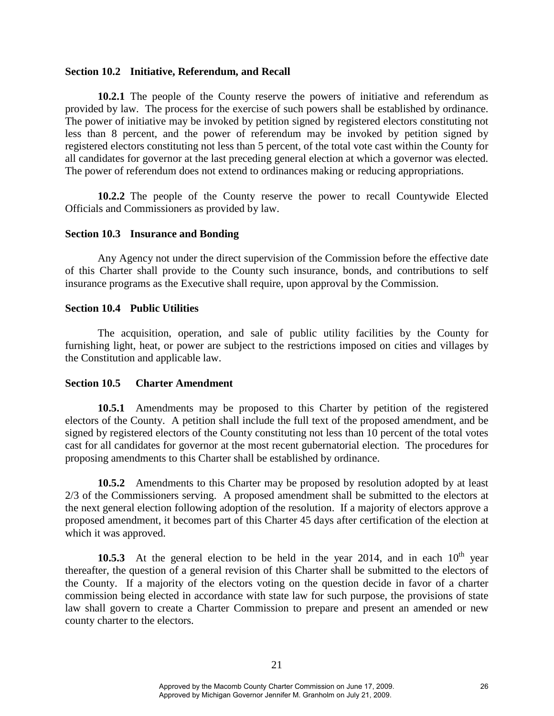#### **Section 10.2 Initiative, Referendum, and Recall**

**10.2.1** The people of the County reserve the powers of initiative and referendum as provided by law. The process for the exercise of such powers shall be established by ordinance. The power of initiative may be invoked by petition signed by registered electors constituting not less than 8 percent, and the power of referendum may be invoked by petition signed by registered electors constituting not less than 5 percent, of the total vote cast within the County for all candidates for governor at the last preceding general election at which a governor was elected. The power of referendum does not extend to ordinances making or reducing appropriations.

**10.2.2** The people of the County reserve the power to recall Countywide Elected Officials and Commissioners as provided by law.

#### **Section 10.3 Insurance and Bonding**

Any Agency not under the direct supervision of the Commission before the effective date of this Charter shall provide to the County such insurance, bonds, and contributions to self insurance programs as the Executive shall require, upon approval by the Commission.

#### **Section 10.4 Public Utilities**

The acquisition, operation, and sale of public utility facilities by the County for furnishing light, heat, or power are subject to the restrictions imposed on cities and villages by the Constitution and applicable law.

#### **Section 10.5 Charter Amendment**

**10.5.1** Amendments may be proposed to this Charter by petition of the registered electors of the County. A petition shall include the full text of the proposed amendment, and be signed by registered electors of the County constituting not less than 10 percent of the total votes cast for all candidates for governor at the most recent gubernatorial election. The procedures for proposing amendments to this Charter shall be established by ordinance.

**10.5.2** Amendments to this Charter may be proposed by resolution adopted by at least 2/3 of the Commissioners serving. A proposed amendment shall be submitted to the electors at the next general election following adoption of the resolution. If a majority of electors approve a proposed amendment, it becomes part of this Charter 45 days after certification of the election at which it was approved.

**10.5.3** At the general election to be held in the year 2014, and in each  $10^{th}$  year thereafter, the question of a general revision of this Charter shall be submitted to the electors of the County. If a majority of the electors voting on the question decide in favor of a charter commission being elected in accordance with state law for such purpose, the provisions of state law shall govern to create a Charter Commission to prepare and present an amended or new county charter to the electors.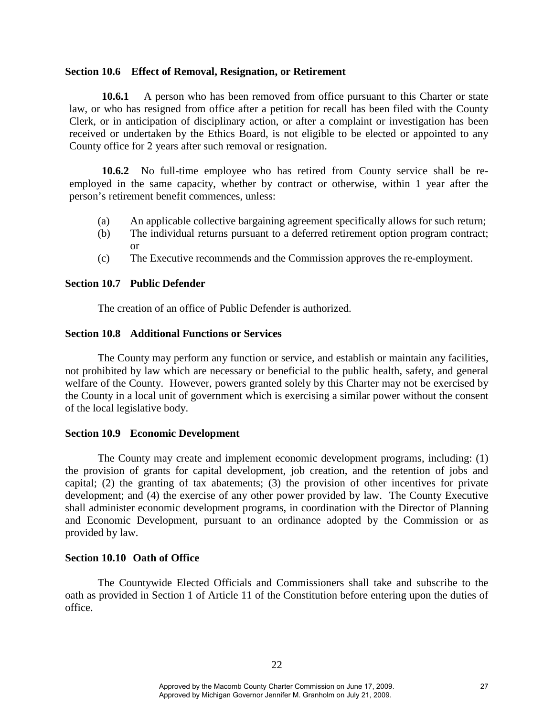#### **Section 10.6 Effect of Removal, Resignation, or Retirement**

**10.6.1** A person who has been removed from office pursuant to this Charter or state law, or who has resigned from office after a petition for recall has been filed with the County Clerk, or in anticipation of disciplinary action, or after a complaint or investigation has been received or undertaken by the Ethics Board, is not eligible to be elected or appointed to any County office for 2 years after such removal or resignation.

**10.6.2** No full-time employee who has retired from County service shall be reemployed in the same capacity, whether by contract or otherwise, within 1 year after the person's retirement benefit commences, unless:

- (a) An applicable collective bargaining agreement specifically allows for such return;
- (b) The individual returns pursuant to a deferred retirement option program contract; or
- (c) The Executive recommends and the Commission approves the re-employment.

#### **Section 10.7 Public Defender**

The creation of an office of Public Defender is authorized.

# **Section 10.8 Additional Functions or Services**

The County may perform any function or service, and establish or maintain any facilities, not prohibited by law which are necessary or beneficial to the public health, safety, and general welfare of the County. However, powers granted solely by this Charter may not be exercised by the County in a local unit of government which is exercising a similar power without the consent of the local legislative body.

#### **Section 10.9 Economic Development**

The County may create and implement economic development programs, including: (1) the provision of grants for capital development, job creation, and the retention of jobs and capital; (2) the granting of tax abatements; (3) the provision of other incentives for private development; and (4) the exercise of any other power provided by law. The County Executive shall administer economic development programs, in coordination with the Director of Planning and Economic Development, pursuant to an ordinance adopted by the Commission or as provided by law.

#### **Section 10.10 Oath of Office**

The Countywide Elected Officials and Commissioners shall take and subscribe to the oath as provided in Section 1 of Article 11 of the Constitution before entering upon the duties of office.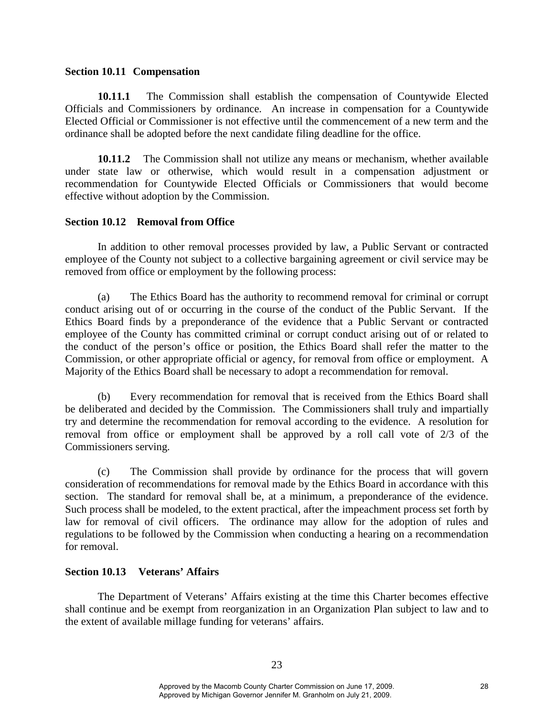#### **Section 10.11 Compensation**

 **10.11.1** The Commission shall establish the compensation of Countywide Elected Officials and Commissioners by ordinance.An increase in compensation for a Countywide Elected Official or Commissioner is not effective until the commencement of a new term and the ordinance shall be adopted before the next candidate filing deadline for the office.

**10.11.2** The Commission shall not utilize any means or mechanism, whether available under state law or otherwise, which would result in a compensation adjustment or recommendation for Countywide Elected Officials or Commissioners that would become effective without adoption by the Commission.

# **Section 10.12 Removal from Office**

In addition to other removal processes provided by law, a Public Servant or contracted employee of the County not subject to a collective bargaining agreement or civil service may be removed from office or employment by the following process:

(a) The Ethics Board has the authority to recommend removal for criminal or corrupt conduct arising out of or occurring in the course of the conduct of the Public Servant. If the Ethics Board finds by a preponderance of the evidence that a Public Servant or contracted employee of the County has committed criminal or corrupt conduct arising out of or related to the conduct of the person's office or position, the Ethics Board shall refer the matter to the Commission, or other appropriate official or agency, for removal from office or employment. A Majority of the Ethics Board shall be necessary to adopt a recommendation for removal.

(b) Every recommendation for removal that is received from the Ethics Board shall be deliberated and decided by the Commission. The Commissioners shall truly and impartially try and determine the recommendation for removal according to the evidence. A resolution for removal from office or employment shall be approved by a roll call vote of 2/3 of the Commissioners serving.

(c) The Commission shall provide by ordinance for the process that will govern consideration of recommendations for removal made by the Ethics Board in accordance with this section. The standard for removal shall be, at a minimum, a preponderance of the evidence. Such process shall be modeled, to the extent practical, after the impeachment process set forth by law for removal of civil officers. The ordinance may allow for the adoption of rules and regulations to be followed by the Commission when conducting a hearing on a recommendation for removal.

# **Section 10.13 Veterans' Affairs**

The Department of Veterans' Affairs existing at the time this Charter becomes effective shall continue and be exempt from reorganization in an Organization Plan subject to law and to the extent of available millage funding for veterans' affairs.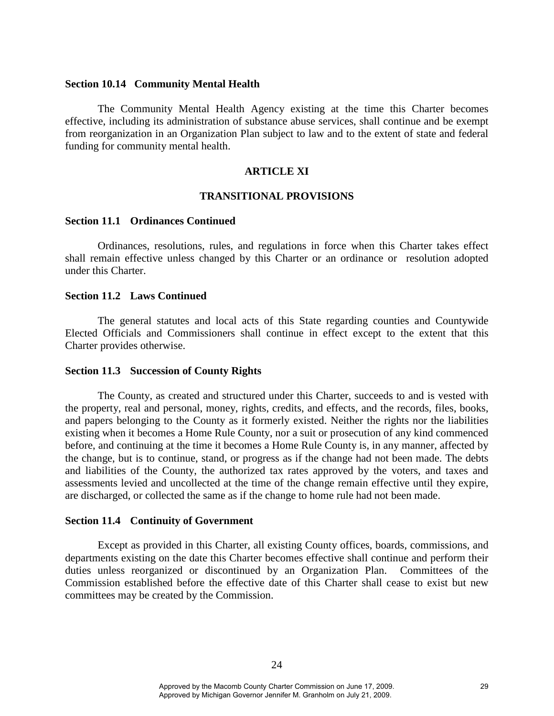#### **Section 10.14 Community Mental Health**

The Community Mental Health Agency existing at the time this Charter becomes effective, including its administration of substance abuse services, shall continue and be exempt from reorganization in an Organization Plan subject to law and to the extent of state and federal funding for community mental health.

# **ARTICLE XI**

#### **TRANSITIONAL PROVISIONS**

#### **Section 11.1 Ordinances Continued**

Ordinances, resolutions, rules, and regulations in force when this Charter takes effect shall remain effective unless changed by this Charter or an ordinance or resolution adopted under this Charter.

#### **Section 11.2 Laws Continued**

The general statutes and local acts of this State regarding counties and Countywide Elected Officials and Commissioners shall continue in effect except to the extent that this Charter provides otherwise.

#### **Section 11.3 Succession of County Rights**

The County, as created and structured under this Charter, succeeds to and is vested with the property, real and personal, money, rights, credits, and effects, and the records, files, books, and papers belonging to the County as it formerly existed. Neither the rights nor the liabilities existing when it becomes a Home Rule County, nor a suit or prosecution of any kind commenced before, and continuing at the time it becomes a Home Rule County is, in any manner, affected by the change, but is to continue, stand, or progress as if the change had not been made. The debts and liabilities of the County, the authorized tax rates approved by the voters, and taxes and assessments levied and uncollected at the time of the change remain effective until they expire, are discharged, or collected the same as if the change to home rule had not been made.

#### **Section 11.4 Continuity of Government**

Except as provided in this Charter, all existing County offices, boards, commissions, and departments existing on the date this Charter becomes effective shall continue and perform their duties unless reorganized or discontinued by an Organization Plan. Committees of the Commission established before the effective date of this Charter shall cease to exist but new committees may be created by the Commission.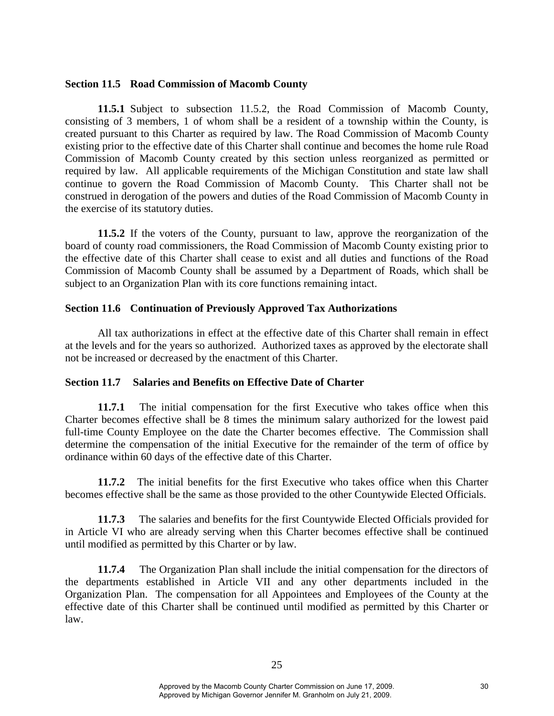#### **Section 11.5 Road Commission of Macomb County**

**11.5.1** Subject to subsection 11.5.2, the Road Commission of Macomb County, consisting of 3 members, 1 of whom shall be a resident of a township within the County, is created pursuant to this Charter as required by law. The Road Commission of Macomb County existing prior to the effective date of this Charter shall continue and becomes the home rule Road Commission of Macomb County created by this section unless reorganized as permitted or required by law. All applicable requirements of the Michigan Constitution and state law shall continue to govern the Road Commission of Macomb County. This Charter shall not be construed in derogation of the powers and duties of the Road Commission of Macomb County in the exercise of its statutory duties.

**11.5.2** If the voters of the County, pursuant to law, approve the reorganization of the board of county road commissioners, the Road Commission of Macomb County existing prior to the effective date of this Charter shall cease to exist and all duties and functions of the Road Commission of Macomb County shall be assumed by a Department of Roads, which shall be subject to an Organization Plan with its core functions remaining intact.

# **Section 11.6 Continuation of Previously Approved Tax Authorizations**

All tax authorizations in effect at the effective date of this Charter shall remain in effect at the levels and for the years so authorized. Authorized taxes as approved by the electorate shall not be increased or decreased by the enactment of this Charter.

# **Section 11.7 Salaries and Benefits on Effective Date of Charter**

**11.7.1** The initial compensation for the first Executive who takes office when this Charter becomes effective shall be 8 times the minimum salary authorized for the lowest paid full-time County Employee on the date the Charter becomes effective. The Commission shall determine the compensation of the initial Executive for the remainder of the term of office by ordinance within 60 days of the effective date of this Charter.

**11.7.2** The initial benefits for the first Executive who takes office when this Charter becomes effective shall be the same as those provided to the other Countywide Elected Officials.

**11.7.3** The salaries and benefits for the first Countywide Elected Officials provided for in Article VI who are already serving when this Charter becomes effective shall be continued until modified as permitted by this Charter or by law.

**11.7.4** The Organization Plan shall include the initial compensation for the directors of the departments established in Article VII and any other departments included in the Organization Plan. The compensation for all Appointees and Employees of the County at the effective date of this Charter shall be continued until modified as permitted by this Charter or law.